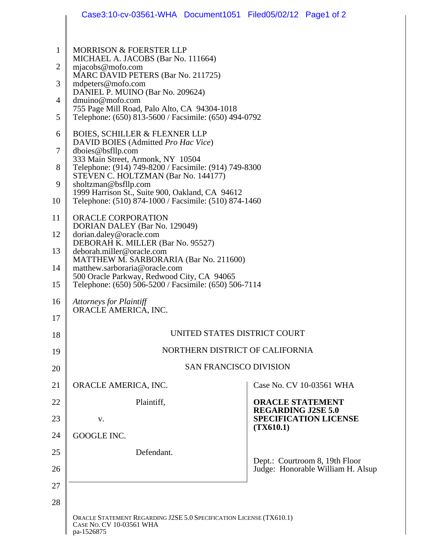|                | Case3:10-cv-03561-WHA Document1051 Filed05/02/12 Page1 of 2                                                                                                                                                                                                                                                                               |                                                                                                   |
|----------------|-------------------------------------------------------------------------------------------------------------------------------------------------------------------------------------------------------------------------------------------------------------------------------------------------------------------------------------------|---------------------------------------------------------------------------------------------------|
|                |                                                                                                                                                                                                                                                                                                                                           |                                                                                                   |
| $\mathbf{1}$   | <b>MORRISON &amp; FOERSTER LLP</b><br>MICHAEL A. JACOBS (Bar No. 111664)                                                                                                                                                                                                                                                                  |                                                                                                   |
| $\overline{2}$ | mjacobs@mofo.com<br>MARC DAVID PETERS (Bar No. 211725)                                                                                                                                                                                                                                                                                    |                                                                                                   |
| 3              | mdpeters@mofo.com<br>DANIEL P. MUINO (Bar No. 209624)                                                                                                                                                                                                                                                                                     |                                                                                                   |
| $\overline{4}$ | dmuino@mofo.com<br>755 Page Mill Road, Palo Alto, CA 94304-1018                                                                                                                                                                                                                                                                           |                                                                                                   |
| 5              | Telephone: (650) 813-5600 / Facsimile: (650) 494-0792                                                                                                                                                                                                                                                                                     |                                                                                                   |
| 6              | <b>BOIES, SCHILLER &amp; FLEXNER LLP</b><br>DAVID BOIES (Admitted Pro Hac Vice)                                                                                                                                                                                                                                                           |                                                                                                   |
| $\overline{7}$ | dboies@bsfllp.com<br>333 Main Street, Armonk, NY 10504                                                                                                                                                                                                                                                                                    |                                                                                                   |
| 8              | Telephone: (914) 749-8200 / Facsimile: (914) 749-8300<br>STEVEN C. HOLTZMAN (Bar No. 144177)<br>sholtzman@bsfllp.com<br>1999 Harrison St., Suite 900, Oakland, CA 94612<br>Telephone: (510) 874-1000 / Facsimile: (510) 874-1460                                                                                                          |                                                                                                   |
| 9              |                                                                                                                                                                                                                                                                                                                                           |                                                                                                   |
| 10             |                                                                                                                                                                                                                                                                                                                                           |                                                                                                   |
| 11             | <b>ORACLE CORPORATION</b><br>DORIAN DALEY (Bar No. 129049)<br>dorian.daley@oracle.com<br>DEBORAH K. MILLER (Bar No. 95527)<br>deborah.miller@oracle.com<br>MATTHEW M. SARBORARIA (Bar No. 211600)<br>matthew.sarboraria@oracle.com<br>500 Oracle Parkway, Redwood City, CA 94065<br>Telephone: (650) 506-5200 / Facsimile: (650) 506-7114 |                                                                                                   |
| 12             |                                                                                                                                                                                                                                                                                                                                           |                                                                                                   |
| 13             |                                                                                                                                                                                                                                                                                                                                           |                                                                                                   |
| 14             |                                                                                                                                                                                                                                                                                                                                           |                                                                                                   |
| 15             |                                                                                                                                                                                                                                                                                                                                           |                                                                                                   |
| 16             | <b>Attorneys for Plaintiff</b><br>ORACLE AMERICA, INC.                                                                                                                                                                                                                                                                                    |                                                                                                   |
| 17             |                                                                                                                                                                                                                                                                                                                                           |                                                                                                   |
| 18             | UNITED STATES DISTRICT COURT                                                                                                                                                                                                                                                                                                              |                                                                                                   |
| 19             | NORTHERN DISTRICT OF CALIFORNIA                                                                                                                                                                                                                                                                                                           |                                                                                                   |
| 20             | <b>SAN FRANCISCO DIVISION</b>                                                                                                                                                                                                                                                                                                             |                                                                                                   |
| 21             | ORACLE AMERICA, INC.                                                                                                                                                                                                                                                                                                                      | Case No. CV 10-03561 WHA                                                                          |
| 22             | Plaintiff,                                                                                                                                                                                                                                                                                                                                | <b>ORACLE STATEMENT</b><br><b>REGARDING J2SE 5.0</b><br><b>SPECIFICATION LICENSE</b><br>(TX610.1) |
| 23             | V.                                                                                                                                                                                                                                                                                                                                        |                                                                                                   |
| 24             | GOOGLE INC.                                                                                                                                                                                                                                                                                                                               |                                                                                                   |
| 25             | Defendant.                                                                                                                                                                                                                                                                                                                                | Dept.: Courtroom 8, 19th Floor<br>Judge: Honorable William H. Alsup                               |
| 26             |                                                                                                                                                                                                                                                                                                                                           |                                                                                                   |
| 27             |                                                                                                                                                                                                                                                                                                                                           |                                                                                                   |
| 28             |                                                                                                                                                                                                                                                                                                                                           |                                                                                                   |
|                | ORACLE STATEMENT REGARDING J2SE 5.0 SPECIFICATION LICENSE (TX610.1)<br>CASE No. CV 10-03561 WHA<br>pa-1526875                                                                                                                                                                                                                             |                                                                                                   |